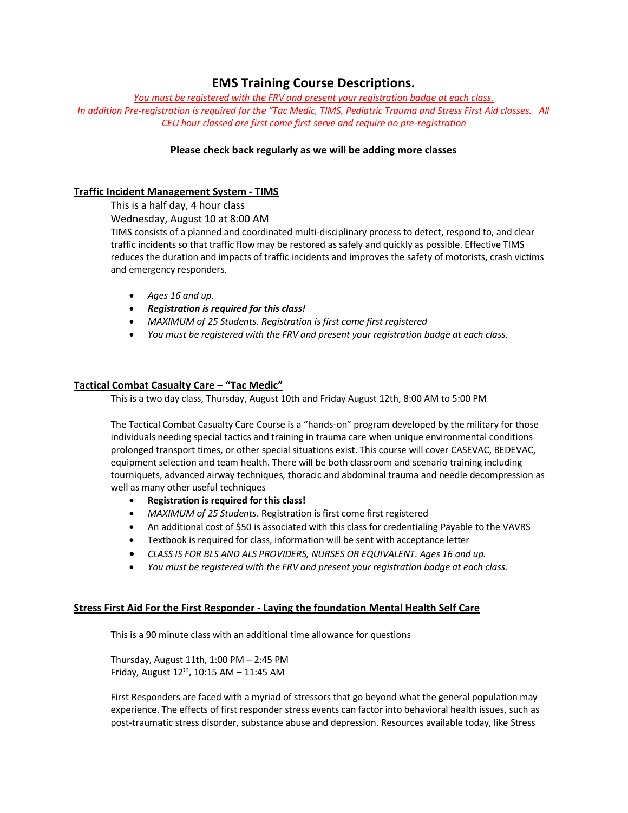# **EMS Training Course Descriptions.**

*You must be registered with the FRV and present your registration badge at each class. In addition Pre-registration is required for the "Tac Medic, TIMS, Pediatric Trauma and Stress First Aid classes. All CEU hour classed are first come first serve and require no pre-registration*

# **Please check back regularly as we will be adding more classes**

## **Traffic Incident Management System - TIMS**

This is a half day, 4 hour class

Wednesday, August 10 at 8:00 AM

TIMS consists of a planned and coordinated multi-disciplinary process to detect, respond to, and clear traffic incidents so that traffic flow may be restored as safely and quickly as possible. Effective TIMS reduces the duration and impacts of traffic incidents and improves the safety of motorists, crash victims and emergency responders.

- *Ages 16 and up.*
- *Registration is required for this class!*
- *MAXIMUM of 25 Students. Registration is first come first registered*
- *You must be registered with the FRV and present your registration badge at each class.*

# **Tactical Combat Casualty Care – "Tac Medic"**

This is a two day class, Thursday, August 10th and Friday August 12th, 8:00 AM to 5:00 PM

The Tactical Combat Casualty Care Course is a "hands-on" program developed by the military for those individuals needing special tactics and training in trauma care when unique environmental conditions prolonged transport times, or other special situations exist. This course will cover CASEVAC, BEDEVAC, equipment selection and team health. There will be both classroom and scenario training including tourniquets, advanced airway techniques, thoracic and abdominal trauma and needle decompression as well as many other useful techniques

- **Registration is required for this class!**
- *MAXIMUM of 25 Students*. Registration is first come first registered
- An additional cost of \$50 is associated with this class for credentialing Payable to the VAVRS
- Textbook is required for class, information will be sent with acceptance letter
- *CLASS IS FOR BLS AND ALS PROVIDERS, NURSES OR EQUIVALENT. Ages 16 and up.*
- *You must be registered with the FRV and present your registration badge at each class.*

## **Stress First Aid For the First Responder - Laying the foundation Mental Health Self Care**

This is a 90 minute class with an additional time allowance for questions

Thursday, August 11th, 1:00 PM – 2:45 PM Friday, August  $12^{th}$ , 10:15 AM - 11:45 AM

First Responders are faced with a myriad of stressors that go beyond what the general population may experience. The effects of first responder stress events can factor into behavioral health issues, such as post-traumatic stress disorder, substance abuse and depression. Resources available today, like Stress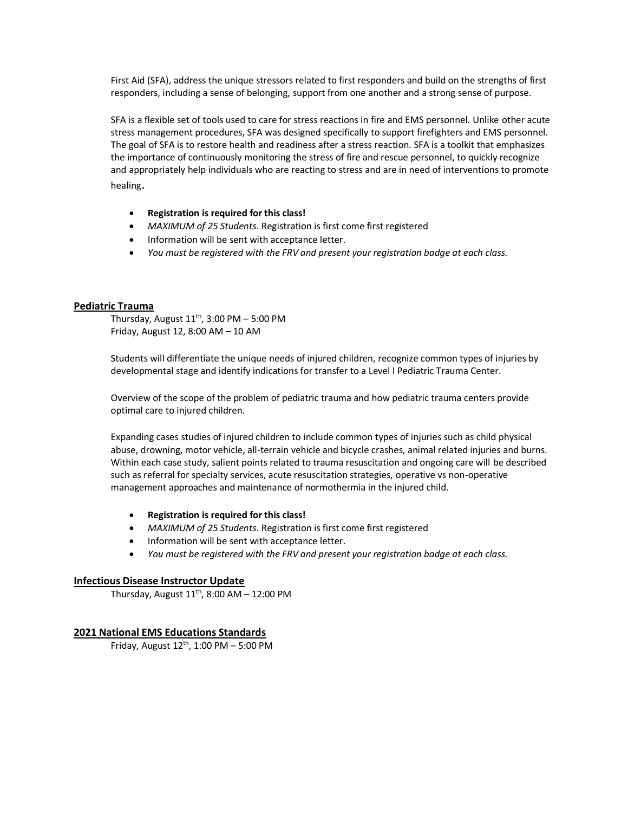First Aid (SFA), address the unique stressors related to first responders and build on the strengths of first responders, including a sense of belonging, support from one another and a strong sense of purpose.

SFA is a flexible set of tools used to care for stress reactions in fire and EMS personnel. Unlike other acute stress management procedures, SFA was designed specifically to support firefighters and EMS personnel. The goal of SFA is to restore health and readiness after a stress reaction. SFA is a toolkit that emphasizes the importance of continuously monitoring the stress of fire and rescue personnel, to quickly recognize and appropriately help individuals who are reacting to stress and are in need of interventions to promote healing.

- **Registration is required for this class!**
- *MAXIMUM of 25 Students*. Registration is first come first registered
- Information will be sent with acceptance letter.
- *You must be registered with the FRV and present your registration badge at each class.*

#### **Pediatric Trauma**

Thursday, August  $11<sup>th</sup>$ , 3:00 PM – 5:00 PM Friday, August 12, 8:00 AM – 10 AM

Students will differentiate the unique needs of injured children, recognize common types of injuries by developmental stage and identify indications for transfer to a Level I Pediatric Trauma Center.

Overview of the scope of the problem of pediatric trauma and how pediatric trauma centers provide optimal care to injured children.

Expanding cases studies of injured children to include common types of injuries such as child physical abuse, drowning, motor vehicle, all-terrain vehicle and bicycle crashes, animal related injuries and burns. Within each case study, salient points related to trauma resuscitation and ongoing care will be described such as referral for specialty services, acute resuscitation strategies, operative vs non-operative management approaches and maintenance of normothermia in the injured child.

- **Registration is required for this class!**
- *MAXIMUM of 25 Students*. Registration is first come first registered
- Information will be sent with acceptance letter.
- *You must be registered with the FRV and present your registration badge at each class.*

### **Infectious Disease Instructor Update**

Thursday, August  $11<sup>th</sup>$ , 8:00 AM – 12:00 PM

### **2021 National EMS Educations Standards**

Friday, August  $12^{th}$ , 1:00 PM – 5:00 PM